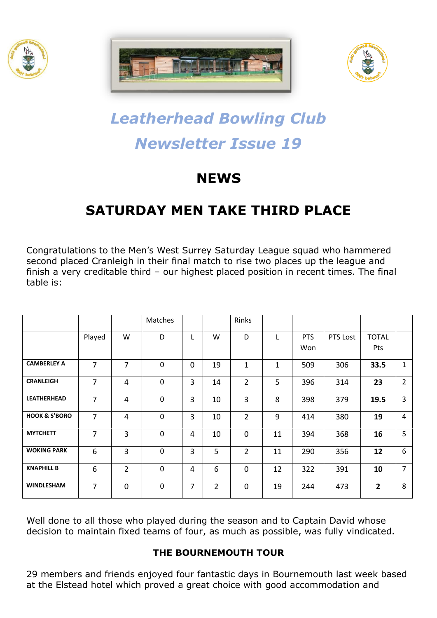





# *Leatherhead Bowling Club Newsletter Issue 19*

## **NEWS**

### **SATURDAY MEN TAKE THIRD PLACE**

Congratulations to the Men's West Surrey Saturday League squad who hammered second placed Cranleigh in their final match to rise two places up the league and finish a very creditable third – our highest placed position in recent times. The final table is:

|                          |                |                | Matches     |   |                | Rinks          |    |                   |          |                            |                |
|--------------------------|----------------|----------------|-------------|---|----------------|----------------|----|-------------------|----------|----------------------------|----------------|
|                          | Played         | W              | D           | L | W              | D              |    | <b>PTS</b><br>Won | PTS Lost | <b>TOTAL</b><br><b>Pts</b> |                |
| <b>CAMBERLEY A</b>       | $\overline{7}$ | $\overline{7}$ | $\mathbf 0$ | 0 | 19             | $\mathbf{1}$   | 1  | 509               | 306      | 33.5                       | 1              |
| <b>CRANLEIGH</b>         | $\overline{7}$ | 4              | $\mathbf 0$ | 3 | 14             | $\overline{2}$ | 5  | 396               | 314      | 23                         | $\overline{2}$ |
| <b>LEATHERHEAD</b>       | $\overline{7}$ | 4              | $\mathbf 0$ | 3 | 10             | 3              | 8  | 398               | 379      | 19.5                       | 3              |
| <b>HOOK &amp; S'BORO</b> | $\overline{7}$ | 4              | $\mathbf 0$ | 3 | 10             | $\overline{2}$ | 9  | 414               | 380      | 19                         | 4              |
| <b>MYTCHETT</b>          | $\overline{7}$ | 3              | $\mathbf 0$ | 4 | 10             | $\mathbf 0$    | 11 | 394               | 368      | 16                         | 5              |
| <b>WOKING PARK</b>       | 6              | 3              | $\mathbf 0$ | 3 | 5              | $\overline{2}$ | 11 | 290               | 356      | 12                         | 6              |
| <b>KNAPHILL B</b>        | 6              | $\overline{2}$ | $\Omega$    | 4 | 6              | 0              | 12 | 322               | 391      | 10                         | $\overline{7}$ |
| <b>WINDLESHAM</b>        | $\overline{7}$ | 0              | $\mathbf 0$ | 7 | $\overline{2}$ | $\Omega$       | 19 | 244               | 473      | $\overline{2}$             | 8              |

Well done to all those who played during the season and to Captain David whose decision to maintain fixed teams of four, as much as possible, was fully vindicated.

#### **THE BOURNEMOUTH TOUR**

29 members and friends enjoyed four fantastic days in Bournemouth last week based at the Elstead hotel which proved a great choice with good accommodation and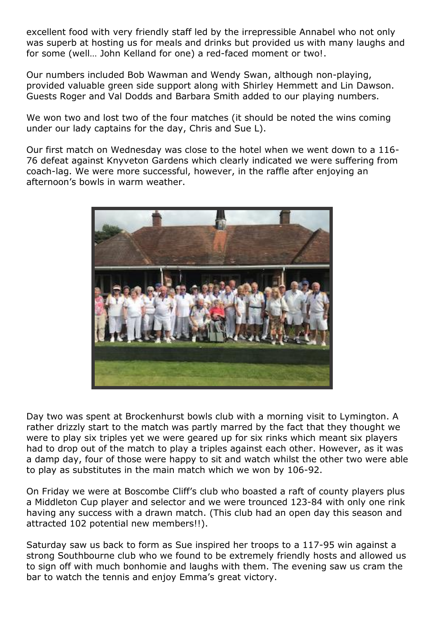excellent food with very friendly staff led by the irrepressible Annabel who not only was superb at hosting us for meals and drinks but provided us with many laughs and for some (well… John Kelland for one) a red-faced moment or two!.

Our numbers included Bob Wawman and Wendy Swan, although non-playing, provided valuable green side support along with Shirley Hemmett and Lin Dawson. Guests Roger and Val Dodds and Barbara Smith added to our playing numbers.

We won two and lost two of the four matches (it should be noted the wins coming under our lady captains for the day, Chris and Sue L).

Our first match on Wednesday was close to the hotel when we went down to a 116- 76 defeat against Knyveton Gardens which clearly indicated we were suffering from coach-lag. We were more successful, however, in the raffle after enjoying an afternoon's bowls in warm weather.



Day two was spent at Brockenhurst bowls club with a morning visit to Lymington. A rather drizzly start to the match was partly marred by the fact that they thought we were to play six triples yet we were geared up for six rinks which meant six players had to drop out of the match to play a triples against each other. However, as it was a damp day, four of those were happy to sit and watch whilst the other two were able to play as substitutes in the main match which we won by 106-92.

On Friday we were at Boscombe Cliff's club who boasted a raft of county players plus a Middleton Cup player and selector and we were trounced 123-84 with only one rink having any success with a drawn match. (This club had an open day this season and attracted 102 potential new members!!).

Saturday saw us back to form as Sue inspired her troops to a 117-95 win against a strong Southbourne club who we found to be extremely friendly hosts and allowed us to sign off with much bonhomie and laughs with them. The evening saw us cram the bar to watch the tennis and enjoy Emma's great victory.